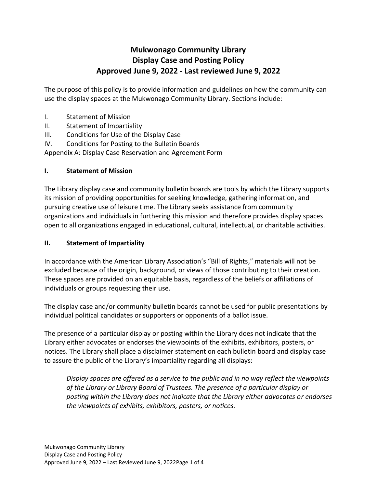# **Mukwonago Community Library Display Case and Posting Policy Approved June 9, 2022 - Last reviewed June 9, 2022**

The purpose of this policy is to provide information and guidelines on how the community can use the display spaces at the Mukwonago Community Library. Sections include:

- I. Statement of Mission
- II. Statement of Impartiality
- III. Conditions for Use of the Display Case
- IV. Conditions for Posting to the Bulletin Boards

Appendix A: Display Case Reservation and Agreement Form

#### **I. Statement of Mission**

The Library display case and community bulletin boards are tools by which the Library supports its mission of providing opportunities for seeking knowledge, gathering information, and pursuing creative use of leisure time. The Library seeks assistance from community organizations and individuals in furthering this mission and therefore provides display spaces open to all organizations engaged in educational, cultural, intellectual, or charitable activities.

### **II. Statement of Impartiality**

In accordance with the American Library Association's "Bill of Rights," materials will not be excluded because of the origin, background, or views of those contributing to their creation. These spaces are provided on an equitable basis, regardless of the beliefs or affiliations of individuals or groups requesting their use.

The display case and/or community bulletin boards cannot be used for public presentations by individual political candidates or supporters or opponents of a ballot issue.

The presence of a particular display or posting within the Library does not indicate that the Library either advocates or endorses the viewpoints of the exhibits, exhibitors, posters, or notices. The Library shall place a disclaimer statement on each bulletin board and display case to assure the public of the Library's impartiality regarding all displays:

*Display spaces are offered as a service to the public and in no way reflect the viewpoints of the Library or Library Board of Trustees. The presence of a particular display or posting within the Library does not indicate that the Library either advocates or endorses the viewpoints of exhibits, exhibitors, posters, or notices.*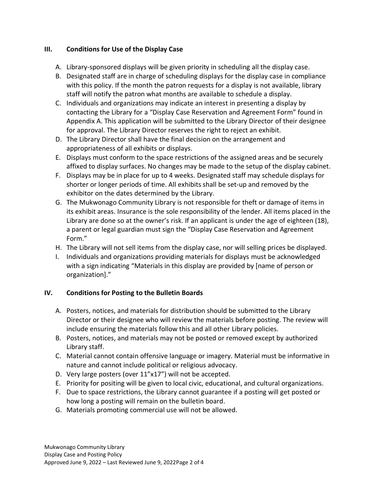## **III. Conditions for Use of the Display Case**

- A. Library-sponsored displays will be given priority in scheduling all the display case.
- B. Designated staff are in charge of scheduling displays for the display case in compliance with this policy. If the month the patron requests for a display is not available, library staff will notify the patron what months are available to schedule a display.
- C. Individuals and organizations may indicate an interest in presenting a display by contacting the Library for a "Display Case Reservation and Agreement Form" found in Appendix A. This application will be submitted to the Library Director of their designee for approval. The Library Director reserves the right to reject an exhibit.
- D. The Library Director shall have the final decision on the arrangement and appropriateness of all exhibits or displays.
- E. Displays must conform to the space restrictions of the assigned areas and be securely affixed to display surfaces. No changes may be made to the setup of the display cabinet.
- F. Displays may be in place for up to 4 weeks. Designated staff may schedule displays for shorter or longer periods of time. All exhibits shall be set-up and removed by the exhibitor on the dates determined by the Library.
- G. The Mukwonago Community Library is not responsible for theft or damage of items in its exhibit areas. Insurance is the sole responsibility of the lender. All items placed in the Library are done so at the owner's risk. If an applicant is under the age of eighteen (18), a parent or legal guardian must sign the "Display Case Reservation and Agreement Form."
- H. The Library will not sell items from the display case, nor will selling prices be displayed.
- I. Individuals and organizations providing materials for displays must be acknowledged with a sign indicating "Materials in this display are provided by [name of person or organization]."

## **IV. Conditions for Posting to the Bulletin Boards**

- A. Posters, notices, and materials for distribution should be submitted to the Library Director or their designee who will review the materials before posting. The review will include ensuring the materials follow this and all other Library policies.
- B. Posters, notices, and materials may not be posted or removed except by authorized Library staff.
- C. Material cannot contain offensive language or imagery. Material must be informative in nature and cannot include political or religious advocacy.
- D. Very large posters (over 11"x17") will not be accepted.
- E. Priority for positing will be given to local civic, educational, and cultural organizations.
- F. Due to space restrictions, the Library cannot guarantee if a posting will get posted or how long a posting will remain on the bulletin board.
- G. Materials promoting commercial use will not be allowed.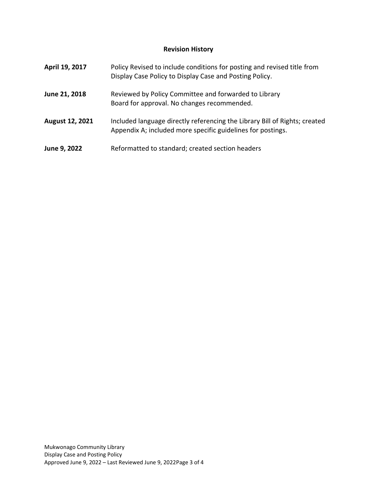# **Revision History**

| April 19, 2017  | Policy Revised to include conditions for posting and revised title from<br>Display Case Policy to Display Case and Posting Policy.        |
|-----------------|-------------------------------------------------------------------------------------------------------------------------------------------|
| June 21, 2018   | Reviewed by Policy Committee and forwarded to Library<br>Board for approval. No changes recommended.                                      |
| August 12, 2021 | Included language directly referencing the Library Bill of Rights; created<br>Appendix A; included more specific guidelines for postings. |
| June 9, 2022    | Reformatted to standard; created section headers                                                                                          |